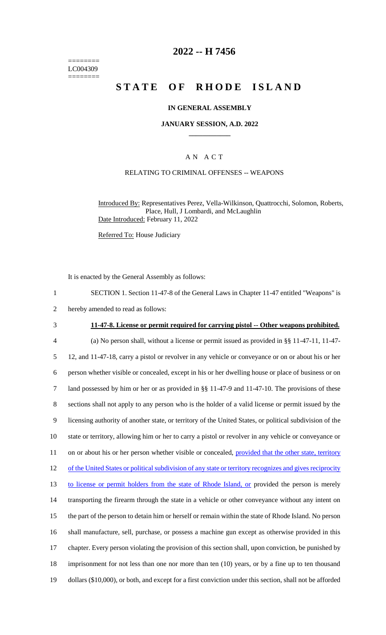======== LC004309 ========

## **2022 -- H 7456**

# **STATE OF RHODE ISLAND**

### **IN GENERAL ASSEMBLY**

#### **JANUARY SESSION, A.D. 2022 \_\_\_\_\_\_\_\_\_\_\_\_**

## A N A C T

## RELATING TO CRIMINAL OFFENSES -- WEAPONS

Introduced By: Representatives Perez, Vella-Wilkinson, Quattrocchi, Solomon, Roberts, Place, Hull, J Lombardi, and McLaughlin Date Introduced: February 11, 2022

Referred To: House Judiciary

It is enacted by the General Assembly as follows:

- 1 SECTION 1. Section 11-47-8 of the General Laws in Chapter 11-47 entitled "Weapons" is
- 2 hereby amended to read as follows:

 **11-47-8. License or permit required for carrying pistol -- Other weapons prohibited.** (a) No person shall, without a license or permit issued as provided in §§ 11-47-11, 11-47- 12, and 11-47-18, carry a pistol or revolver in any vehicle or conveyance or on or about his or her person whether visible or concealed, except in his or her dwelling house or place of business or on land possessed by him or her or as provided in §§ 11-47-9 and 11-47-10. The provisions of these sections shall not apply to any person who is the holder of a valid license or permit issued by the licensing authority of another state, or territory of the United States, or political subdivision of the state or territory, allowing him or her to carry a pistol or revolver in any vehicle or conveyance or 11 on or about his or her person whether visible or concealed, provided that the other state, territory 12 of the United States or political subdivision of any state or territory recognizes and gives reciprocity to license or permit holders from the state of Rhode Island, or provided the person is merely transporting the firearm through the state in a vehicle or other conveyance without any intent on the part of the person to detain him or herself or remain within the state of Rhode Island. No person shall manufacture, sell, purchase, or possess a machine gun except as otherwise provided in this chapter. Every person violating the provision of this section shall, upon conviction, be punished by 18 imprisonment for not less than one nor more than ten (10) years, or by a fine up to ten thousand dollars (\$10,000), or both, and except for a first conviction under this section, shall not be afforded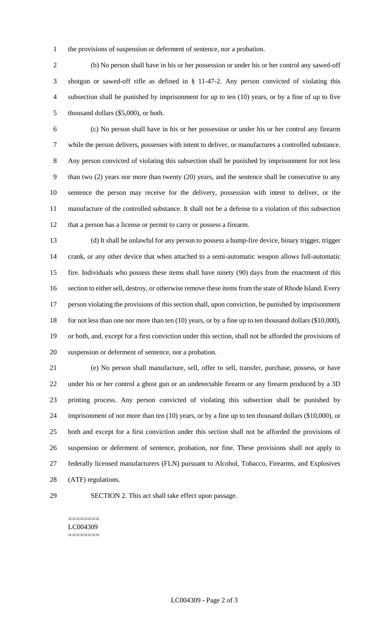the provisions of suspension or deferment of sentence, nor a probation.

 (b) No person shall have in his or her possession or under his or her control any sawed-off shotgun or sawed-off rifle as defined in § 11-47-2. Any person convicted of violating this subsection shall be punished by imprisonment for up to ten (10) years, or by a fine of up to five thousand dollars (\$5,000), or both.

 (c) No person shall have in his or her possession or under his or her control any firearm while the person delivers, possesses with intent to deliver, or manufactures a controlled substance. Any person convicted of violating this subsection shall be punished by imprisonment for not less than two (2) years nor more than twenty (20) years, and the sentence shall be consecutive to any sentence the person may receive for the delivery, possession with intent to deliver, or the manufacture of the controlled substance. It shall not be a defense to a violation of this subsection that a person has a license or permit to carry or possess a firearm.

 (d) It shall be unlawful for any person to possess a bump-fire device, binary trigger, trigger crank, or any other device that when attached to a semi-automatic weapon allows full-automatic fire. Individuals who possess these items shall have ninety (90) days from the enactment of this 16 section to either sell, destroy, or otherwise remove these items from the state of Rhode Island. Every person violating the provisions of this section shall, upon conviction, be punished by imprisonment 18 for not less than one nor more than ten (10) years, or by a fine up to ten thousand dollars (\$10,000), or both, and, except for a first conviction under this section, shall not be afforded the provisions of suspension or deferment of sentence, nor a probation.

 (e) No person shall manufacture, sell, offer to sell, transfer, purchase, possess, or have under his or her control a ghost gun or an undetectable firearm or any firearm produced by a 3D printing process. Any person convicted of violating this subsection shall be punished by imprisonment of not more than ten (10) years, or by a fine up to ten thousand dollars (\$10,000), or both and except for a first conviction under this section shall not be afforded the provisions of suspension or deferment of sentence, probation, nor fine. These provisions shall not apply to federally licensed manufacturers (FLN) pursuant to Alcohol, Tobacco, Firearms, and Explosives (ATF) regulations.

SECTION 2. This act shall take effect upon passage.

#### ======== LC004309 ========